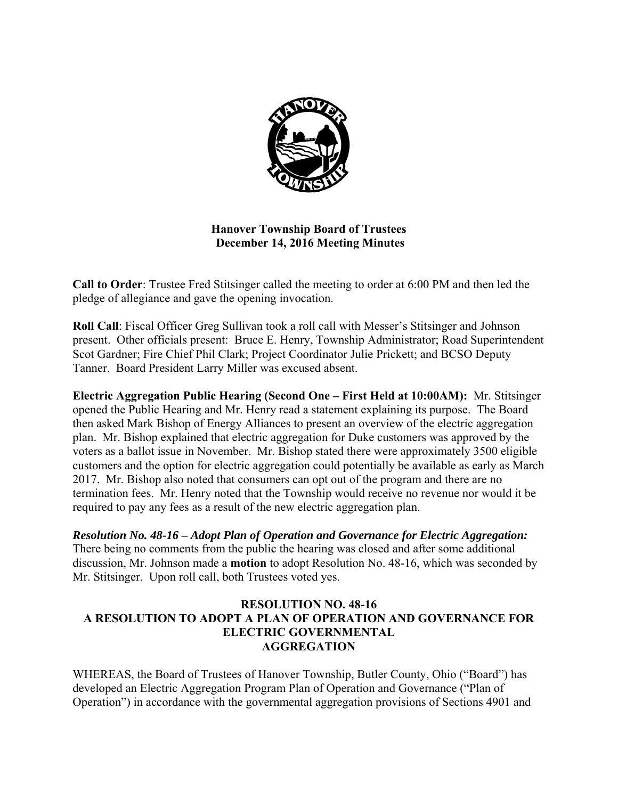

## **Hanover Township Board of Trustees December 14, 2016 Meeting Minutes**

**Call to Order**: Trustee Fred Stitsinger called the meeting to order at 6:00 PM and then led the pledge of allegiance and gave the opening invocation.

**Roll Call**: Fiscal Officer Greg Sullivan took a roll call with Messer's Stitsinger and Johnson present. Other officials present: Bruce E. Henry, Township Administrator; Road Superintendent Scot Gardner; Fire Chief Phil Clark; Project Coordinator Julie Prickett; and BCSO Deputy Tanner. Board President Larry Miller was excused absent.

**Electric Aggregation Public Hearing (Second One – First Held at 10:00AM):** Mr. Stitsinger opened the Public Hearing and Mr. Henry read a statement explaining its purpose. The Board then asked Mark Bishop of Energy Alliances to present an overview of the electric aggregation plan. Mr. Bishop explained that electric aggregation for Duke customers was approved by the voters as a ballot issue in November. Mr. Bishop stated there were approximately 3500 eligible customers and the option for electric aggregation could potentially be available as early as March 2017. Mr. Bishop also noted that consumers can opt out of the program and there are no termination fees. Mr. Henry noted that the Township would receive no revenue nor would it be required to pay any fees as a result of the new electric aggregation plan.

*Resolution No. 48-16 – Adopt Plan of Operation and Governance for Electric Aggregation:*  There being no comments from the public the hearing was closed and after some additional discussion, Mr. Johnson made a **motion** to adopt Resolution No. 48-16, which was seconded by Mr. Stitsinger. Upon roll call, both Trustees voted yes.

#### **RESOLUTION NO. 48-16 A RESOLUTION TO ADOPT A PLAN OF OPERATION AND GOVERNANCE FOR ELECTRIC GOVERNMENTAL AGGREGATION**

WHEREAS, the Board of Trustees of Hanover Township, Butler County, Ohio ("Board") has developed an Electric Aggregation Program Plan of Operation and Governance ("Plan of Operation") in accordance with the governmental aggregation provisions of Sections 4901 and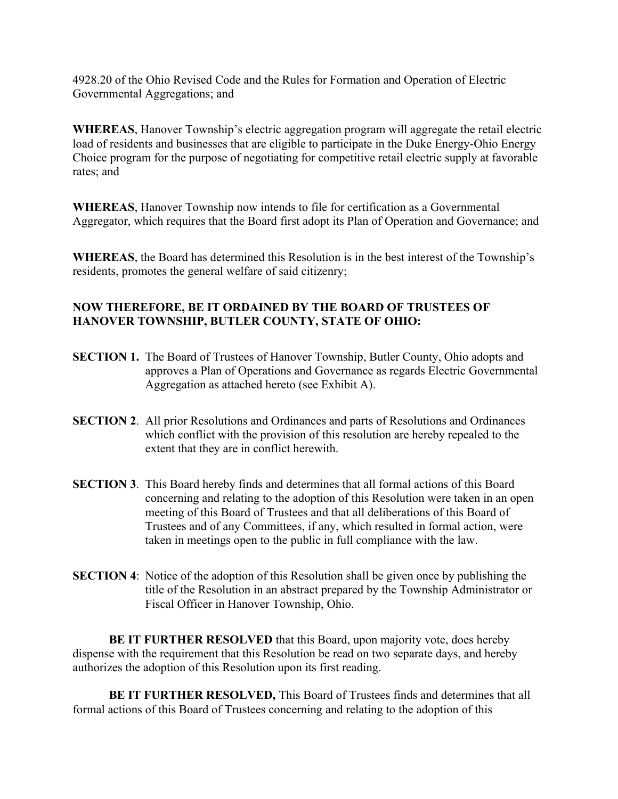4928.20 of the Ohio Revised Code and the Rules for Formation and Operation of Electric Governmental Aggregations; and

**WHEREAS**, Hanover Township's electric aggregation program will aggregate the retail electric load of residents and businesses that are eligible to participate in the Duke Energy-Ohio Energy Choice program for the purpose of negotiating for competitive retail electric supply at favorable rates; and

**WHEREAS**, Hanover Township now intends to file for certification as a Governmental Aggregator, which requires that the Board first adopt its Plan of Operation and Governance; and

**WHEREAS**, the Board has determined this Resolution is in the best interest of the Township's residents, promotes the general welfare of said citizenry;

# **NOW THEREFORE, BE IT ORDAINED BY THE BOARD OF TRUSTEES OF HANOVER TOWNSHIP, BUTLER COUNTY, STATE OF OHIO:**

- **SECTION 1.** The Board of Trustees of Hanover Township, Butler County, Ohio adopts and approves a Plan of Operations and Governance as regards Electric Governmental Aggregation as attached hereto (see Exhibit A).
- **SECTION 2**. All prior Resolutions and Ordinances and parts of Resolutions and Ordinances which conflict with the provision of this resolution are hereby repealed to the extent that they are in conflict herewith.
- **SECTION 3**. This Board hereby finds and determines that all formal actions of this Board concerning and relating to the adoption of this Resolution were taken in an open meeting of this Board of Trustees and that all deliberations of this Board of Trustees and of any Committees, if any, which resulted in formal action, were taken in meetings open to the public in full compliance with the law.
- **SECTION 4:** Notice of the adoption of this Resolution shall be given once by publishing the title of the Resolution in an abstract prepared by the Township Administrator or Fiscal Officer in Hanover Township, Ohio.

 **BE IT FURTHER RESOLVED** that this Board, upon majority vote, does hereby dispense with the requirement that this Resolution be read on two separate days, and hereby authorizes the adoption of this Resolution upon its first reading.

 **BE IT FURTHER RESOLVED,** This Board of Trustees finds and determines that all formal actions of this Board of Trustees concerning and relating to the adoption of this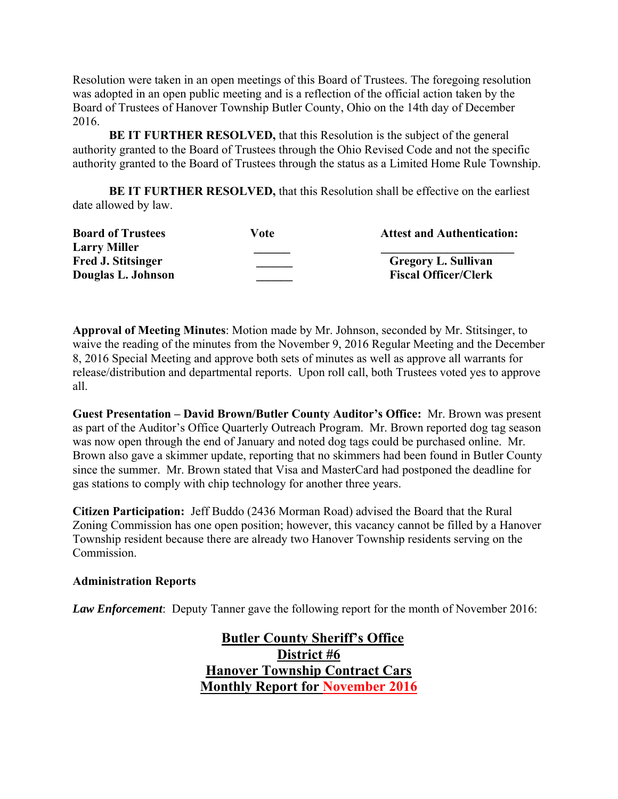Resolution were taken in an open meetings of this Board of Trustees. The foregoing resolution was adopted in an open public meeting and is a reflection of the official action taken by the Board of Trustees of Hanover Township Butler County, Ohio on the 14th day of December 2016.

**BE IT FURTHER RESOLVED, that this Resolution is the subject of the general** authority granted to the Board of Trustees through the Ohio Revised Code and not the specific authority granted to the Board of Trustees through the status as a Limited Home Rule Township.

 **BE IT FURTHER RESOLVED,** that this Resolution shall be effective on the earliest date allowed by law.

| <b>Board of Trustees</b>  | Vote | <b>Attest and Authentication:</b> |
|---------------------------|------|-----------------------------------|
| <b>Larry Miller</b>       |      |                                   |
| <b>Fred J. Stitsinger</b> |      | <b>Gregory L. Sullivan</b>        |
| Douglas L. Johnson        |      | <b>Fiscal Officer/Clerk</b>       |

**Approval of Meeting Minutes**: Motion made by Mr. Johnson, seconded by Mr. Stitsinger, to waive the reading of the minutes from the November 9, 2016 Regular Meeting and the December 8, 2016 Special Meeting and approve both sets of minutes as well as approve all warrants for release/distribution and departmental reports. Upon roll call, both Trustees voted yes to approve all.

**Guest Presentation – David Brown/Butler County Auditor's Office:** Mr. Brown was present as part of the Auditor's Office Quarterly Outreach Program. Mr. Brown reported dog tag season was now open through the end of January and noted dog tags could be purchased online. Mr. Brown also gave a skimmer update, reporting that no skimmers had been found in Butler County since the summer. Mr. Brown stated that Visa and MasterCard had postponed the deadline for gas stations to comply with chip technology for another three years.

**Citizen Participation:** Jeff Buddo (2436 Morman Road) advised the Board that the Rural Zoning Commission has one open position; however, this vacancy cannot be filled by a Hanover Township resident because there are already two Hanover Township residents serving on the Commission.

#### **Administration Reports**

*Law Enforcement*: Deputy Tanner gave the following report for the month of November 2016:

 **Butler County Sheriff's Office District #6 Hanover Township Contract Cars Monthly Report for November 2016**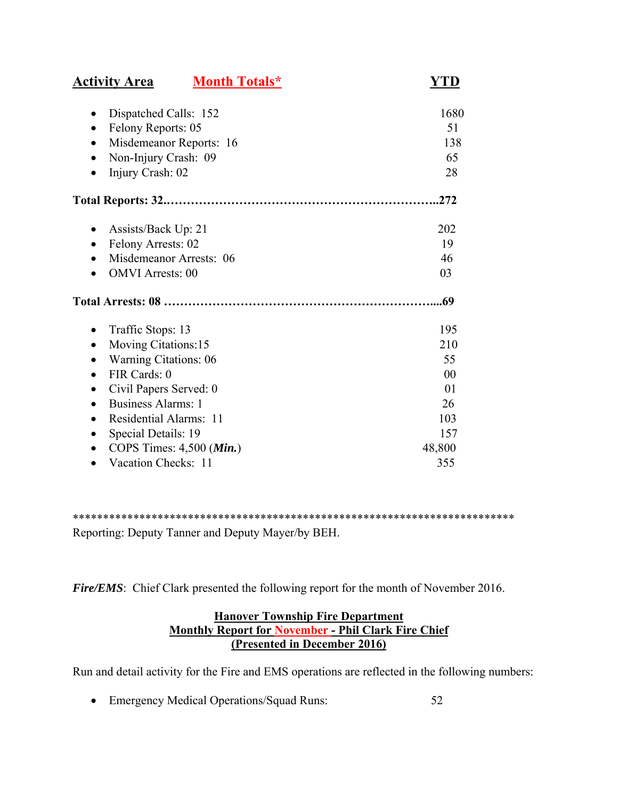| <b>Activity Area</b>                   | <b>Month Totals*</b>                | YTD    |
|----------------------------------------|-------------------------------------|--------|
| Dispatched Calls: 152<br>$\bullet$     |                                     | 1680   |
| Felony Reports: 05<br>٠                |                                     | 51     |
|                                        | Misdemeanor Reports: 16             | 138    |
| Non-Injury Crash: 09                   |                                     | 65     |
| Injury Crash: 02<br>$\bullet$          |                                     | 28     |
|                                        |                                     | .272   |
| Assists/Back Up: 21<br>$\bullet$       |                                     | 202    |
| Felony Arrests: 02<br>$\bullet$        |                                     | 19     |
| Misdemeanor Arrests: 06                |                                     | 46     |
| <b>OMVI</b> Arrests: 00<br>$\bullet$   |                                     | 03     |
|                                        |                                     | .69    |
| Traffic Stops: 13                      |                                     | 195    |
| Moving Citations:15<br>$\bullet$       |                                     | 210    |
| <b>Warning Citations: 06</b>           |                                     | 55     |
| FIR Cards: 0<br>$\bullet$              |                                     | 00     |
| Civil Papers Served: 0<br>$\bullet$    |                                     | 01     |
| <b>Business Alarms: 1</b><br>$\bullet$ |                                     | 26     |
| Residential Alarms: 11<br>$\bullet$    |                                     | 103    |
| Special Details: 19<br>$\bullet$       |                                     | 157    |
|                                        | COPS Times: $4,500$ ( <i>Min.</i> ) | 48,800 |
| Vacation Checks: 11                    |                                     | 355    |

\*\*\*\*\*\*\*\*\*\*\*\*\*\*\*\*\*\*\*\*\*\*\*\*\*\*\*\*\*\*\*\*\*\*\*\*\*\*\*\*\*\*\*\*\*\*\*\*\*\*\*\*\*\*\*\*\*\*\*\*\*\*\*\*\*\*\*\*\*\*\*\*\* Reporting: Deputy Tanner and Deputy Mayer/by BEH.

*Fire/EMS*: Chief Clark presented the following report for the month of November 2016.

### **Hanover Township Fire Department Monthly Report for November - Phil Clark Fire Chief (Presented in December 2016)**

Run and detail activity for the Fire and EMS operations are reflected in the following numbers:

Emergency Medical Operations/Squad Runs: 52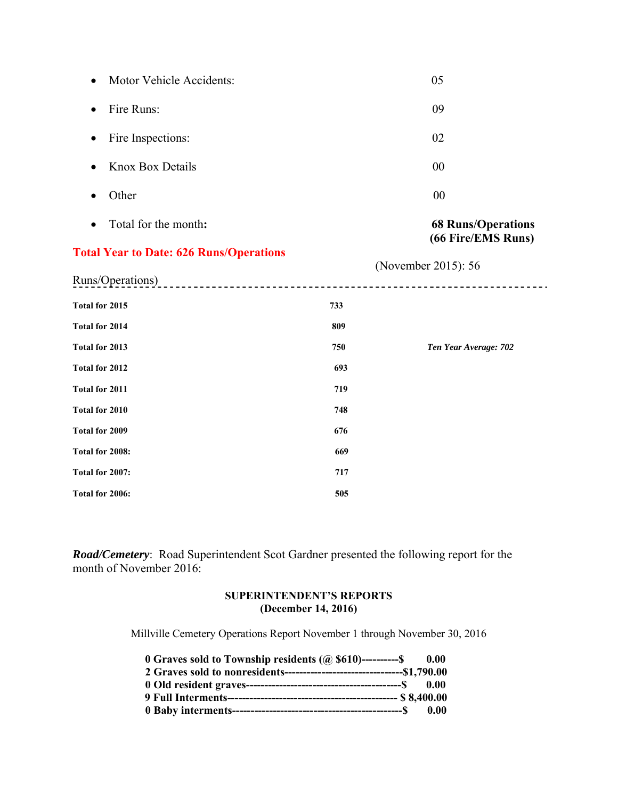| Motor Vehicle Accidents:<br>$\bullet$          |     | 05                        |
|------------------------------------------------|-----|---------------------------|
| Fire Runs:<br>$\bullet$                        |     | 09                        |
| Fire Inspections:<br>$\bullet$                 |     | 02                        |
| <b>Knox Box Details</b>                        |     | 00                        |
| Other                                          |     | 00                        |
| Total for the month:                           |     | <b>68 Runs/Operations</b> |
| <b>Total Year to Date: 626 Runs/Operations</b> |     | (66 Fire/EMS Runs)        |
| Runs/Operations)                               |     | (November 2015): 56       |
| Total for 2015                                 | 733 |                           |
| Total for 2014                                 | 809 |                           |
| Total for 2013                                 | 750 | Ten Year Average: 702     |
| Total for 2012                                 | 693 |                           |
| Total for 2011                                 | 719 |                           |
| Total for 2010                                 | 748 |                           |
| Total for 2009                                 | 676 |                           |
| Total for 2008:                                | 669 |                           |
| Total for 2007:                                | 717 |                           |
| Total for 2006:                                | 505 |                           |

*Road/Cemetery*: Road Superintendent Scot Gardner presented the following report for the month of November 2016:

### **SUPERINTENDENT'S REPORTS (December 14, 2016)**

Millville Cemetery Operations Report November 1 through November 30, 2016

| 0.00 Graves sold to Township residents $(Q)$ \$610)----------\$ 0.00 |  |
|----------------------------------------------------------------------|--|
|                                                                      |  |
|                                                                      |  |
|                                                                      |  |
|                                                                      |  |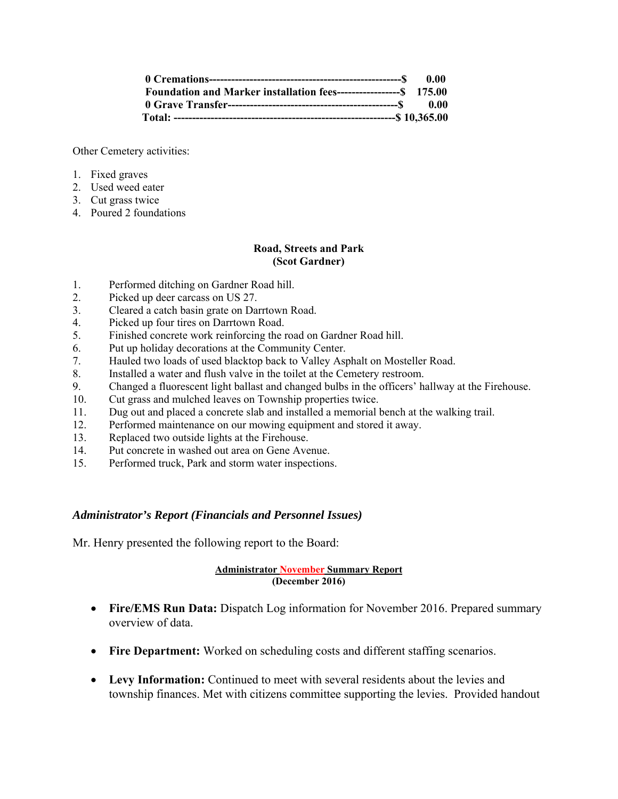| Foundation and Marker installation fees--------------------\$ 175.00 |  |
|----------------------------------------------------------------------|--|
|                                                                      |  |
|                                                                      |  |

Other Cemetery activities:

- 1. Fixed graves
- 2. Used weed eater
- 3. Cut grass twice
- 4. Poured 2 foundations

#### **Road, Streets and Park (Scot Gardner)**

- 1. Performed ditching on Gardner Road hill.
- 2. Picked up deer carcass on US 27.
- 3. Cleared a catch basin grate on Darrtown Road.
- 4. Picked up four tires on Darrtown Road.
- 5. Finished concrete work reinforcing the road on Gardner Road hill.
- 6. Put up holiday decorations at the Community Center.
- 7. Hauled two loads of used blacktop back to Valley Asphalt on Mosteller Road.
- 8. Installed a water and flush valve in the toilet at the Cemetery restroom.
- 9. Changed a fluorescent light ballast and changed bulbs in the officers' hallway at the Firehouse.
- 10. Cut grass and mulched leaves on Township properties twice.
- 11. Dug out and placed a concrete slab and installed a memorial bench at the walking trail.
- 12. Performed maintenance on our mowing equipment and stored it away.
- 13. Replaced two outside lights at the Firehouse.
- 14. Put concrete in washed out area on Gene Avenue.
- 15. Performed truck, Park and storm water inspections.

#### *Administrator's Report (Financials and Personnel Issues)*

Mr. Henry presented the following report to the Board:

#### **Administrator November Summary Report (December 2016)**

- **Fire/EMS Run Data:** Dispatch Log information for November 2016. Prepared summary overview of data.
- **Fire Department:** Worked on scheduling costs and different staffing scenarios.
- **Levy Information:** Continued to meet with several residents about the levies and township finances. Met with citizens committee supporting the levies. Provided handout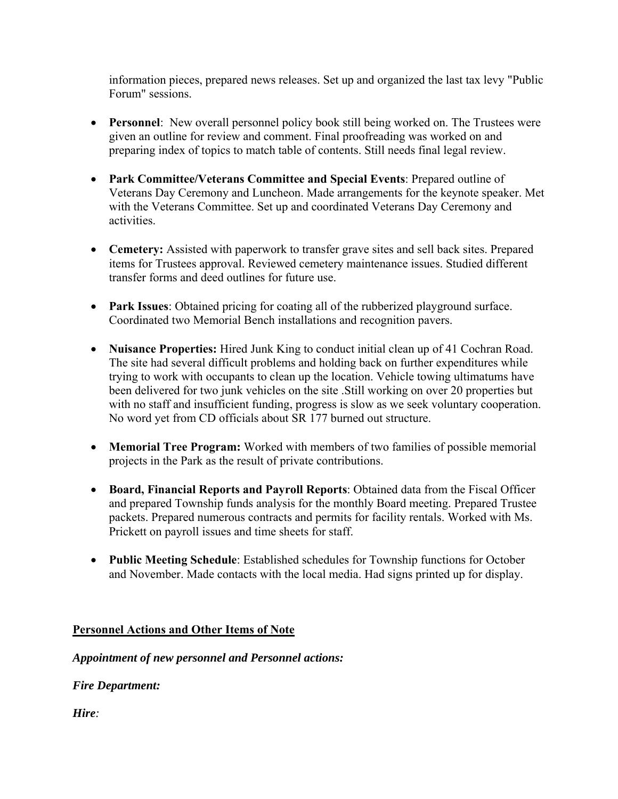information pieces, prepared news releases. Set up and organized the last tax levy "Public Forum" sessions.

- **Personnel**: New overall personnel policy book still being worked on. The Trustees were given an outline for review and comment. Final proofreading was worked on and preparing index of topics to match table of contents. Still needs final legal review.
- **Park Committee/Veterans Committee and Special Events**: Prepared outline of Veterans Day Ceremony and Luncheon. Made arrangements for the keynote speaker. Met with the Veterans Committee. Set up and coordinated Veterans Day Ceremony and activities.
- **Cemetery:** Assisted with paperwork to transfer grave sites and sell back sites. Prepared items for Trustees approval. Reviewed cemetery maintenance issues. Studied different transfer forms and deed outlines for future use.
- **Park Issues**: Obtained pricing for coating all of the rubberized playground surface. Coordinated two Memorial Bench installations and recognition pavers.
- **Nuisance Properties:** Hired Junk King to conduct initial clean up of 41 Cochran Road. The site had several difficult problems and holding back on further expenditures while trying to work with occupants to clean up the location. Vehicle towing ultimatums have been delivered for two junk vehicles on the site .Still working on over 20 properties but with no staff and insufficient funding, progress is slow as we seek voluntary cooperation. No word yet from CD officials about SR 177 burned out structure.
- **Memorial Tree Program:** Worked with members of two families of possible memorial projects in the Park as the result of private contributions.
- **Board, Financial Reports and Payroll Reports**: Obtained data from the Fiscal Officer and prepared Township funds analysis for the monthly Board meeting. Prepared Trustee packets. Prepared numerous contracts and permits for facility rentals. Worked with Ms. Prickett on payroll issues and time sheets for staff.
- **Public Meeting Schedule**: Established schedules for Township functions for October and November. Made contacts with the local media. Had signs printed up for display.

# **Personnel Actions and Other Items of Note**

# *Appointment of new personnel and Personnel actions:*

# *Fire Department:*

*Hire:*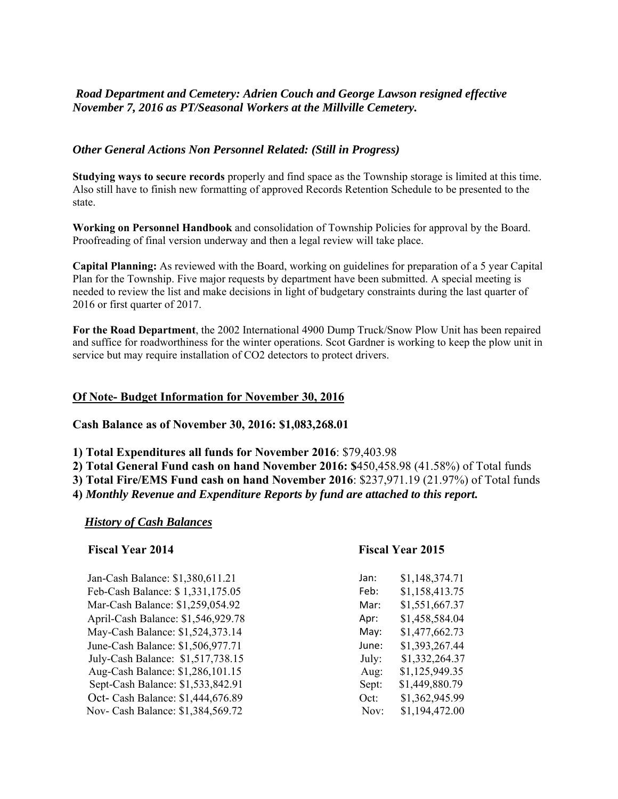# *Road Department and Cemetery: Adrien Couch and George Lawson resigned effective November 7, 2016 as PT/Seasonal Workers at the Millville Cemetery.*

#### *Other General Actions Non Personnel Related: (Still in Progress)*

**Studying ways to secure records** properly and find space as the Township storage is limited at this time. Also still have to finish new formatting of approved Records Retention Schedule to be presented to the state.

**Working on Personnel Handbook** and consolidation of Township Policies for approval by the Board. Proofreading of final version underway and then a legal review will take place.

**Capital Planning:** As reviewed with the Board, working on guidelines for preparation of a 5 year Capital Plan for the Township. Five major requests by department have been submitted. A special meeting is needed to review the list and make decisions in light of budgetary constraints during the last quarter of 2016 or first quarter of 2017.

**For the Road Department**, the 2002 International 4900 Dump Truck/Snow Plow Unit has been repaired and suffice for roadworthiness for the winter operations. Scot Gardner is working to keep the plow unit in service but may require installation of CO2 detectors to protect drivers.

#### **Of Note- Budget Information for November 30, 2016**

**Cash Balance as of November 30, 2016: \$1,083,268.01** 

**1) Total Expenditures all funds for November 2016**: \$79,403.98

**2) Total General Fund cash on hand November 2016: \$**450,458.98 (41.58%) of Total funds **3) Total Fire/EMS Fund cash on hand November 2016**: \$237,971.19 (21.97%) of Total funds

**4)** *Monthly Revenue and Expenditure Reports by fund are attached to this report.* 

#### *History of Cash Balances*

#### **Fiscal Year 2014 Fiscal Year 2015**

Jan-Cash Balance: \$1,380,611.21 Jan: \$1,148,374.71 Feb-Cash Balance: \$ 1,331,175.05 Feb: \$1,158,413.75 Mar-Cash Balance: \$1,259,054.92 Mar: \$1,551,667.37 April-Cash Balance: \$1,546,929.78 May-Cash Balance: \$1,524,373.14 May: \$1,477,662.73 June-Cash Balance: \$1,506,977.71 July-Cash Balance:  $$1,517,738.15$ Aug-Cash Balance: \$1,286,101.15 Sept-Cash Balance: \$1,533,842.91 Oct- Cash Balance: \$1,444,676.89 Nov- Cash Balance: \$1,384,569.72

| an.   | \$1,140,374.71 |
|-------|----------------|
| Feb:  | \$1,158,413.75 |
| Mar:  | \$1,551,667.37 |
| Apr:  | \$1,458,584.04 |
| May:  | \$1,477,662.73 |
| lune: | \$1,393,267.44 |
| July: | \$1,332,264.37 |
| Aug:  | \$1,125,949.35 |
| Sept: | \$1,449,880.79 |
| Oct:  | \$1,362,945.99 |
| Nov:  | \$1,194,472.00 |
|       |                |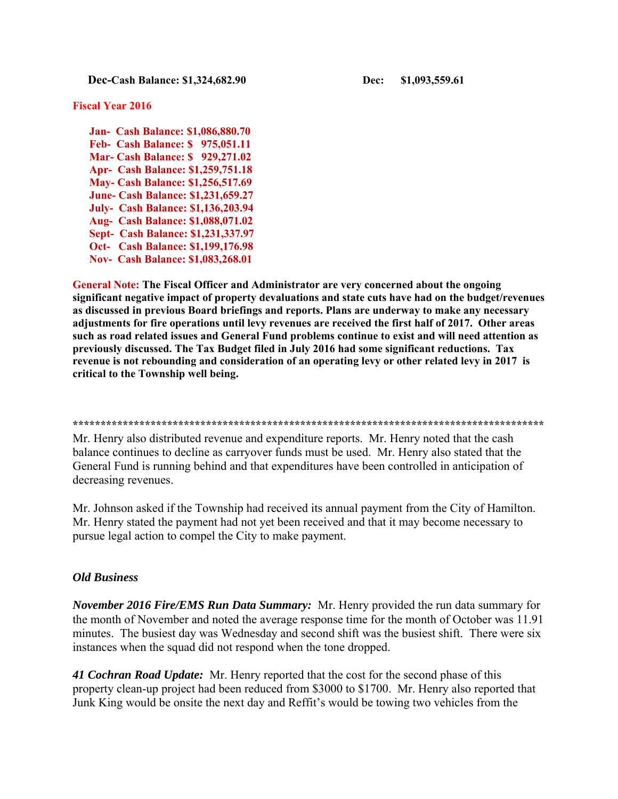**Dec-Cash Balance: \$1,324,682.90 Dec: \$1,093,559.61** 

#### **Fiscal Year 2016**

 **Jan- Cash Balance: \$1,086,880.70 Feb- Cash Balance: \$ 975,051.11 Mar- Cash Balance: \$ 929,271.02 Apr- Cash Balance: \$1,259,751.18 May- Cash Balance: \$1,256,517.69 June- Cash Balance: \$1,231,659.27 July- Cash Balance: \$1,136,203.94 Aug- Cash Balance: \$1,088,071.02 Sept- Cash Balance: \$1,231,337.97 Oct- Cash Balance: \$1,199,176.98 Nov- Cash Balance: \$1,083,268.01** 

**General Note: The Fiscal Officer and Administrator are very concerned about the ongoing significant negative impact of property devaluations and state cuts have had on the budget/revenues as discussed in previous Board briefings and reports. Plans are underway to make any necessary adjustments for fire operations until levy revenues are received the first half of 2017. Other areas such as road related issues and General Fund problems continue to exist and will need attention as previously discussed. The Tax Budget filed in July 2016 had some significant reductions. Tax revenue is not rebounding and consideration of an operating levy or other related levy in 2017 is critical to the Township well being.** 

**\*\*\*\*\*\*\*\*\*\*\*\*\*\*\*\*\*\*\*\*\*\*\*\*\*\*\*\*\*\*\*\*\*\*\*\*\*\*\*\*\*\*\*\*\*\*\*\*\*\*\*\*\*\*\*\*\*\*\*\*\*\*\*\*\*\*\*\*\*\*\*\*\*\*\*\*\*\*\*\*\*\*\*\*\*** 

Mr. Henry also distributed revenue and expenditure reports. Mr. Henry noted that the cash balance continues to decline as carryover funds must be used. Mr. Henry also stated that the General Fund is running behind and that expenditures have been controlled in anticipation of decreasing revenues.

Mr. Johnson asked if the Township had received its annual payment from the City of Hamilton. Mr. Henry stated the payment had not yet been received and that it may become necessary to pursue legal action to compel the City to make payment.

#### *Old Business*

*November 2016 Fire/EMS Run Data Summary:* Mr. Henry provided the run data summary for the month of November and noted the average response time for the month of October was 11.91 minutes. The busiest day was Wednesday and second shift was the busiest shift. There were six instances when the squad did not respond when the tone dropped.

*41 Cochran Road Update:* Mr. Henry reported that the cost for the second phase of this property clean-up project had been reduced from \$3000 to \$1700. Mr. Henry also reported that Junk King would be onsite the next day and Reffit's would be towing two vehicles from the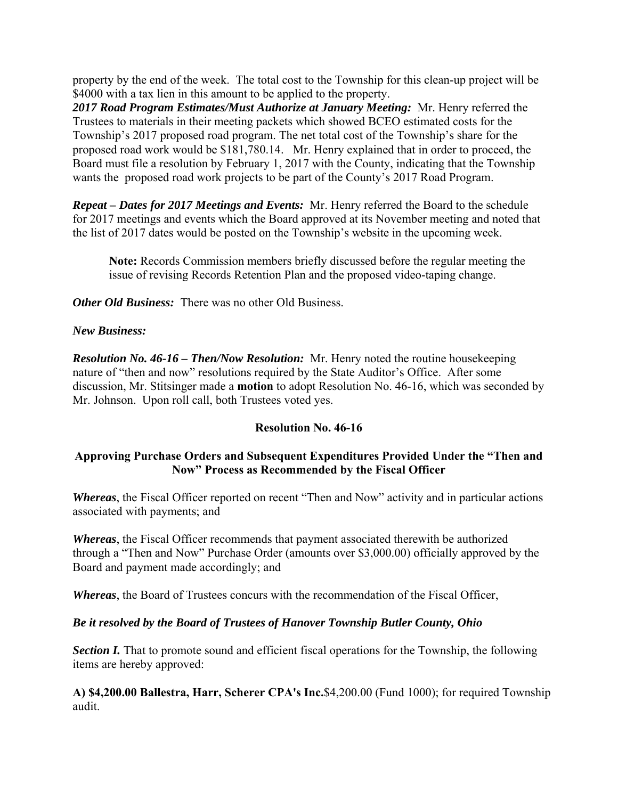property by the end of the week. The total cost to the Township for this clean-up project will be \$4000 with a tax lien in this amount to be applied to the property.

*2017 Road Program Estimates/Must Authorize at January Meeting:* Mr. Henry referred the Trustees to materials in their meeting packets which showed BCEO estimated costs for the Township's 2017 proposed road program. The net total cost of the Township's share for the proposed road work would be \$181,780.14. Mr. Henry explained that in order to proceed, the Board must file a resolution by February 1, 2017 with the County, indicating that the Township wants the proposed road work projects to be part of the County's 2017 Road Program.

*Repeat – Dates for 2017 Meetings and Events:* Mr. Henry referred the Board to the schedule for 2017 meetings and events which the Board approved at its November meeting and noted that the list of 2017 dates would be posted on the Township's website in the upcoming week.

**Note:** Records Commission members briefly discussed before the regular meeting the issue of revising Records Retention Plan and the proposed video-taping change.

*Other Old Business:* There was no other Old Business.

### *New Business:*

*Resolution No. 46-16 – Then/Now Resolution:* Mr. Henry noted the routine housekeeping nature of "then and now" resolutions required by the State Auditor's Office. After some discussion, Mr. Stitsinger made a **motion** to adopt Resolution No. 46-16, which was seconded by Mr. Johnson. Upon roll call, both Trustees voted yes.

# **Resolution No. 46-16**

# **Approving Purchase Orders and Subsequent Expenditures Provided Under the "Then and Now" Process as Recommended by the Fiscal Officer**

*Whereas*, the Fiscal Officer reported on recent "Then and Now" activity and in particular actions associated with payments; and

*Whereas*, the Fiscal Officer recommends that payment associated therewith be authorized through a "Then and Now" Purchase Order (amounts over \$3,000.00) officially approved by the Board and payment made accordingly; and

*Whereas*, the Board of Trustees concurs with the recommendation of the Fiscal Officer,

# *Be it resolved by the Board of Trustees of Hanover Township Butler County, Ohio*

**Section I.** That to promote sound and efficient fiscal operations for the Township, the following items are hereby approved:

**A) \$4,200.00 Ballestra, Harr, Scherer CPA's Inc.**\$4,200.00 (Fund 1000); for required Township audit.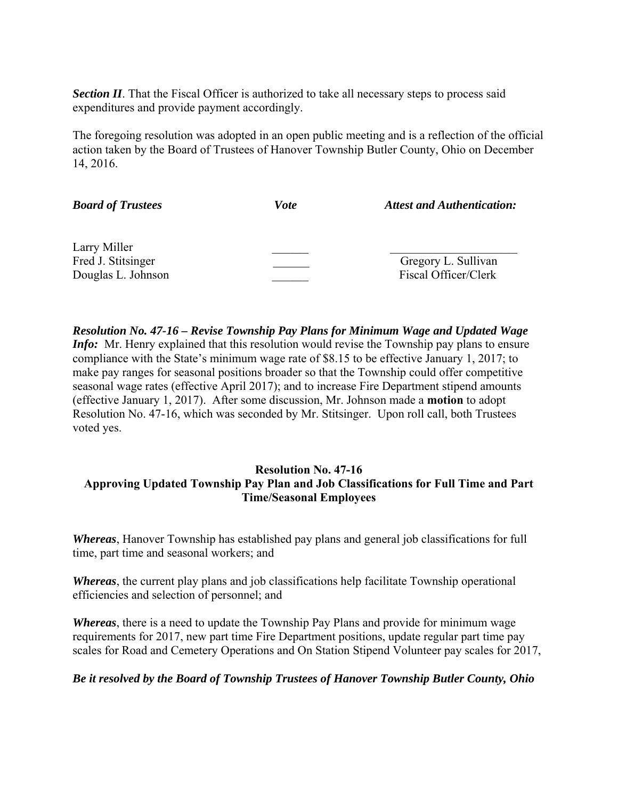*Section II*. That the Fiscal Officer is authorized to take all necessary steps to process said expenditures and provide payment accordingly.

The foregoing resolution was adopted in an open public meeting and is a reflection of the official action taken by the Board of Trustees of Hanover Township Butler County, Ohio on December 14, 2016.

| <b>Board of Trustees</b> | <b>Vote</b> | <b>Attest and Authentication:</b> |
|--------------------------|-------------|-----------------------------------|
| Larry Miller             |             |                                   |
| Fred J. Stitsinger       |             | Gregory L. Sullivan               |
| Douglas L. Johnson       |             | Fiscal Officer/Clerk              |

*Resolution No. 47-16 – Revise Township Pay Plans for Minimum Wage and Updated Wage Info*: Mr. Henry explained that this resolution would revise the Township pay plans to ensure compliance with the State's minimum wage rate of \$8.15 to be effective January 1, 2017; to make pay ranges for seasonal positions broader so that the Township could offer competitive seasonal wage rates (effective April 2017); and to increase Fire Department stipend amounts (effective January 1, 2017). After some discussion, Mr. Johnson made a **motion** to adopt Resolution No. 47-16, which was seconded by Mr. Stitsinger. Upon roll call, both Trustees voted yes.

# **Resolution No. 47-16 Approving Updated Township Pay Plan and Job Classifications for Full Time and Part Time/Seasonal Employees**

*Whereas*, Hanover Township has established pay plans and general job classifications for full time, part time and seasonal workers; and

*Whereas*, the current play plans and job classifications help facilitate Township operational efficiencies and selection of personnel; and

*Whereas*, there is a need to update the Township Pay Plans and provide for minimum wage requirements for 2017, new part time Fire Department positions, update regular part time pay scales for Road and Cemetery Operations and On Station Stipend Volunteer pay scales for 2017,

#### *Be it resolved by the Board of Township Trustees of Hanover Township Butler County, Ohio*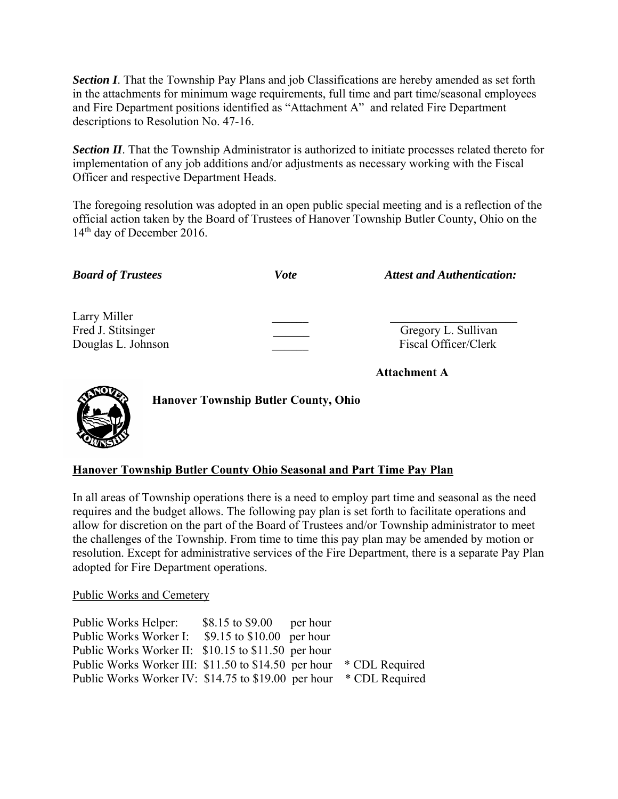**Section I**. That the Township Pay Plans and job Classifications are hereby amended as set forth in the attachments for minimum wage requirements, full time and part time/seasonal employees and Fire Department positions identified as "Attachment A" and related Fire Department descriptions to Resolution No. 47-16.

**Section II**. That the Township Administrator is authorized to initiate processes related thereto for implementation of any job additions and/or adjustments as necessary working with the Fiscal Officer and respective Department Heads.

The foregoing resolution was adopted in an open public special meeting and is a reflection of the official action taken by the Board of Trustees of Hanover Township Butler County, Ohio on the 14<sup>th</sup> day of December 2016.

| <b>Board of Trustees</b>                                 | <b>Vote</b> | <b>Attest and Authentication:</b>           |
|----------------------------------------------------------|-------------|---------------------------------------------|
| Larry Miller<br>Fred J. Stitsinger<br>Douglas L. Johnson |             | Gregory L. Sullivan<br>Fiscal Officer/Clerk |
|                                                          |             | <b>Attachment A</b>                         |



**Hanover Township Butler County, Ohio** 

# **Hanover Township Butler County Ohio Seasonal and Part Time Pay Plan**

In all areas of Township operations there is a need to employ part time and seasonal as the need requires and the budget allows. The following pay plan is set forth to facilitate operations and allow for discretion on the part of the Board of Trustees and/or Township administrator to meet the challenges of the Township. From time to time this pay plan may be amended by motion or resolution. Except for administrative services of the Fire Department, there is a separate Pay Plan adopted for Fire Department operations.

#### Public Works and Cemetery

Public Works Helper: \$8.15 to \$9.00 per hour Public Works Worker I: \$9.15 to \$10.00 per hour Public Works Worker II: \$10.15 to \$11.50 per hour Public Works Worker III: \$11.50 to \$14.50 per hour \* CDL Required Public Works Worker IV: \$14.75 to \$19.00 per hour \* CDL Required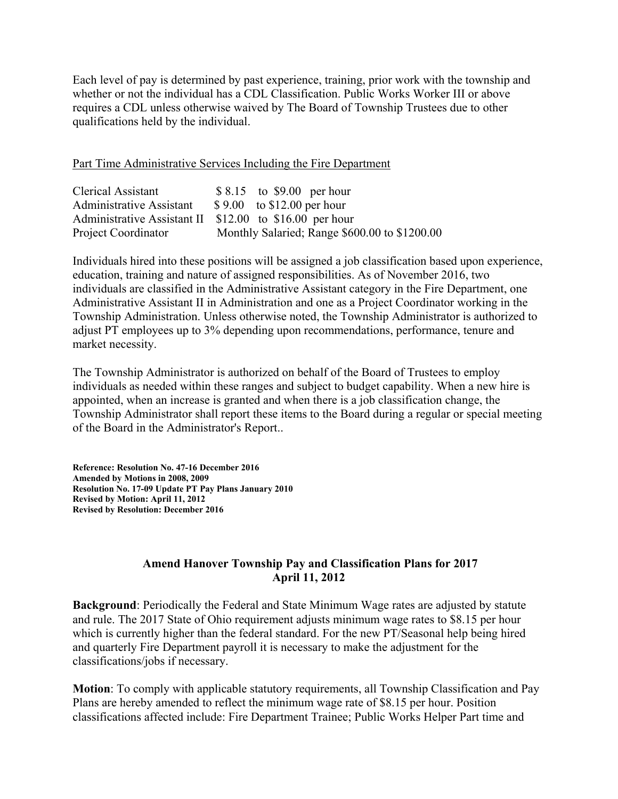Each level of pay is determined by past experience, training, prior work with the township and whether or not the individual has a CDL Classification. Public Works Worker III or above requires a CDL unless otherwise waived by The Board of Township Trustees due to other qualifications held by the individual.

Part Time Administrative Services Including the Fire Department

| Clerical Assistant       | $$8.15$ to \$9.00 per hour                              |
|--------------------------|---------------------------------------------------------|
| Administrative Assistant | $$9.00$ to \$12.00 per hour                             |
|                          | Administrative Assistant II \$12.00 to \$16.00 per hour |
| Project Coordinator      | Monthly Salaried; Range \$600.00 to \$1200.00           |

Individuals hired into these positions will be assigned a job classification based upon experience, education, training and nature of assigned responsibilities. As of November 2016, two individuals are classified in the Administrative Assistant category in the Fire Department, one Administrative Assistant II in Administration and one as a Project Coordinator working in the Township Administration. Unless otherwise noted, the Township Administrator is authorized to adjust PT employees up to 3% depending upon recommendations, performance, tenure and market necessity.

The Township Administrator is authorized on behalf of the Board of Trustees to employ individuals as needed within these ranges and subject to budget capability. When a new hire is appointed, when an increase is granted and when there is a job classification change, the Township Administrator shall report these items to the Board during a regular or special meeting of the Board in the Administrator's Report..

**Reference: Resolution No. 47-16 December 2016 Amended by Motions in 2008, 2009 Resolution No. 17-09 Update PT Pay Plans January 2010 Revised by Motion: April 11, 2012 Revised by Resolution: December 2016** 

### **Amend Hanover Township Pay and Classification Plans for 2017 April 11, 2012**

**Background**: Periodically the Federal and State Minimum Wage rates are adjusted by statute and rule. The 2017 State of Ohio requirement adjusts minimum wage rates to \$8.15 per hour which is currently higher than the federal standard. For the new PT/Seasonal help being hired and quarterly Fire Department payroll it is necessary to make the adjustment for the classifications/jobs if necessary.

**Motion**: To comply with applicable statutory requirements, all Township Classification and Pay Plans are hereby amended to reflect the minimum wage rate of \$8.15 per hour. Position classifications affected include: Fire Department Trainee; Public Works Helper Part time and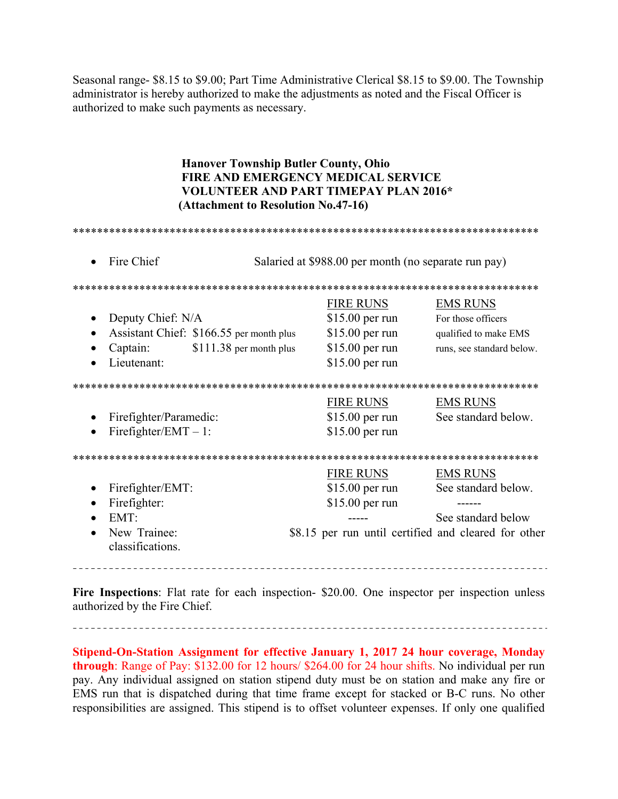Seasonal range- \$8.15 to \$9.00; Part Time Administrative Clerical \$8.15 to \$9.00. The Township administrator is hereby authorized to make the adjustments as noted and the Fiscal Officer is authorized to make such payments as necessary.

# **Hanover Township Butler County, Ohio FIRE AND EMERGENCY MEDICAL SERVICE VOLUNTEER AND PART TIMEPAY PLAN 2016\*** (Attachment to Resolution No.47-16)

| Fire Chief                       | Salaried at \$988.00 per month (no separate run pay) |                                                      |                           |
|----------------------------------|------------------------------------------------------|------------------------------------------------------|---------------------------|
|                                  |                                                      |                                                      |                           |
|                                  |                                                      | <b>FIRE RUNS</b>                                     | <b>EMS RUNS</b>           |
| Deputy Chief: N/A                |                                                      | $$15.00$ per run                                     | For those officers        |
|                                  | Assistant Chief: \$166.55 per month plus             | $$15.00$ per run                                     | qualified to make EMS     |
| Captain:                         | $$111.38$ per month plus                             | $$15.00$ per run                                     | runs, see standard below. |
| Lieutenant:                      |                                                      | $$15.00$ per run                                     |                           |
|                                  |                                                      |                                                      |                           |
|                                  |                                                      | <b>FIRE RUNS</b>                                     | <b>EMS RUNS</b>           |
| Firefighter/Paramedic:           |                                                      | $$15.00$ per run                                     | See standard below.       |
| Firefighter/EMT $-1$ :           |                                                      | $$15.00$ per run                                     |                           |
|                                  |                                                      |                                                      |                           |
|                                  |                                                      | <b>FIRE RUNS</b>                                     | <b>EMS RUNS</b>           |
| Firefighter/EMT:                 |                                                      | $$15.00$ per run                                     | See standard below.       |
| Firefighter:                     |                                                      | \$15.00 per run                                      |                           |
| EMT:<br>$\bullet$                |                                                      |                                                      | See standard below        |
| New Trainee:<br>classifications. |                                                      | \$8.15 per run until certified and cleared for other |                           |
|                                  |                                                      |                                                      |                           |

Fire Inspections: Flat rate for each inspection- \$20.00. One inspector per inspection unless authorized by the Fire Chief.

Stipend-On-Station Assignment for effective January 1, 2017 24 hour coverage, Monday through: Range of Pay: \$132.00 for 12 hours/ \$264.00 for 24 hour shifts. No individual per run pay. Any individual assigned on station stipend duty must be on station and make any fire or EMS run that is dispatched during that time frame except for stacked or B-C runs. No other responsibilities are assigned. This stipend is to offset volunteer expenses. If only one qualified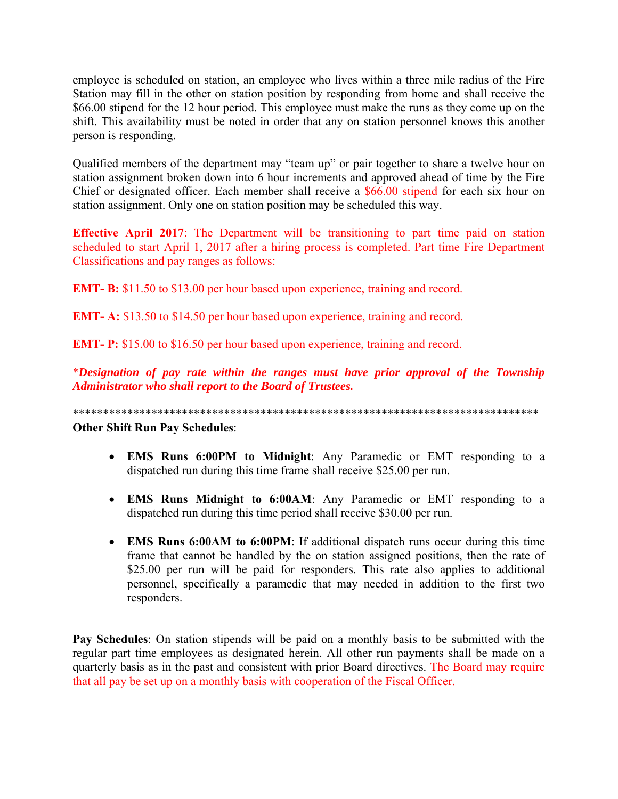employee is scheduled on station, an employee who lives within a three mile radius of the Fire Station may fill in the other on station position by responding from home and shall receive the \$66.00 stipend for the 12 hour period. This employee must make the runs as they come up on the shift. This availability must be noted in order that any on station personnel knows this another person is responding.

Qualified members of the department may "team up" or pair together to share a twelve hour on station assignment broken down into 6 hour increments and approved ahead of time by the Fire Chief or designated officer. Each member shall receive a \$66.00 stipend for each six hour on station assignment. Only one on station position may be scheduled this way.

**Effective April 2017**: The Department will be transitioning to part time paid on station scheduled to start April 1, 2017 after a hiring process is completed. Part time Fire Department Classifications and pay ranges as follows:

**EMT- B:** \$11.50 to \$13.00 per hour based upon experience, training and record.

**EMT- A:** \$13.50 to \$14.50 per hour based upon experience, training and record.

**EMT- P:** \$15.00 to \$16.50 per hour based upon experience, training and record.

\**Designation of pay rate within the ranges must have prior approval of the Township Administrator who shall report to the Board of Trustees.* 

\*\*\*\*\*\*\*\*\*\*\*\*\*\*\*\*\*\*\*\*\*\*\*\*\*\*\*\*\*\*\*\*\*\*\*\*\*\*\*\*\*\*\*\*\*\*\*\*\*\*\*\*\*\*\*\*\*\*\*\*\*\*\*\*\*\*\*\*\*\*\*\*\*\*\*\*\*

**Other Shift Run Pay Schedules**:

- **EMS Runs 6:00PM to Midnight**: Any Paramedic or EMT responding to a dispatched run during this time frame shall receive \$25.00 per run.
- **EMS Runs Midnight to 6:00AM**: Any Paramedic or EMT responding to a dispatched run during this time period shall receive \$30.00 per run.
- **EMS Runs 6:00AM to 6:00PM**: If additional dispatch runs occur during this time frame that cannot be handled by the on station assigned positions, then the rate of \$25.00 per run will be paid for responders. This rate also applies to additional personnel, specifically a paramedic that may needed in addition to the first two responders.

**Pay Schedules**: On station stipends will be paid on a monthly basis to be submitted with the regular part time employees as designated herein. All other run payments shall be made on a quarterly basis as in the past and consistent with prior Board directives. The Board may require that all pay be set up on a monthly basis with cooperation of the Fiscal Officer.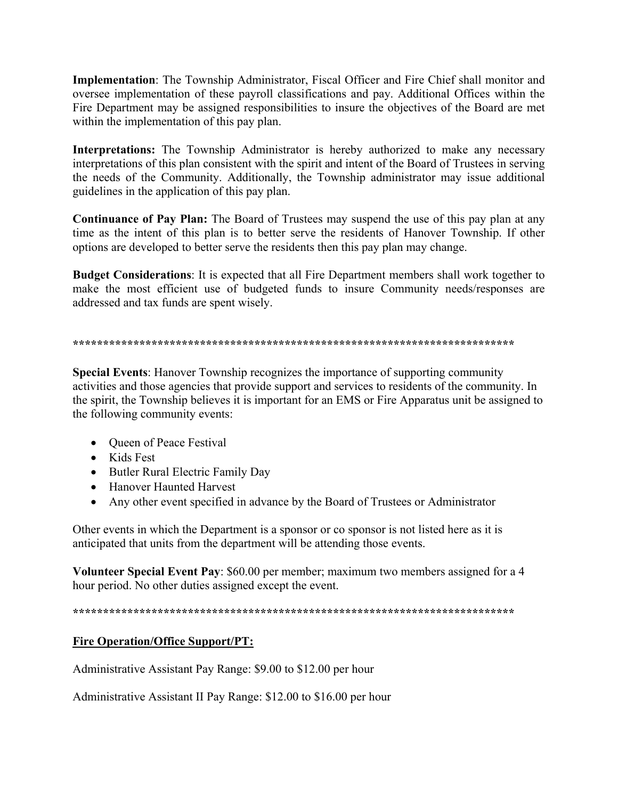**Implementation:** The Township Administrator, Fiscal Officer and Fire Chief shall monitor and oversee implementation of these payroll classifications and pay. Additional Offices within the Fire Department may be assigned responsibilities to insure the objectives of the Board are met within the implementation of this pay plan.

Interpretations: The Township Administrator is hereby authorized to make any necessary interpretations of this plan consistent with the spirit and intent of the Board of Trustees in serving the needs of the Community. Additionally, the Township administrator may issue additional guidelines in the application of this pay plan.

**Continuance of Pay Plan:** The Board of Trustees may suspend the use of this pay plan at any time as the intent of this plan is to better serve the residents of Hanover Township. If other options are developed to better serve the residents then this pay plan may change.

**Budget Considerations:** It is expected that all Fire Department members shall work together to make the most efficient use of budgeted funds to insure Community needs/responses are addressed and tax funds are spent wisely.

#### 

**Special Events:** Hanover Township recognizes the importance of supporting community activities and those agencies that provide support and services to residents of the community. In the spirit, the Township believes it is important for an EMS or Fire Apparatus unit be assigned to the following community events:

- Queen of Peace Festival
- Kids Fest
- Butler Rural Electric Family Day
- Hanover Haunted Harvest
- Any other event specified in advance by the Board of Trustees or Administrator

Other events in which the Department is a sponsor or co sponsor is not listed here as it is anticipated that units from the department will be attending those events.

Volunteer Special Event Pay: \$60.00 per member; maximum two members assigned for a 4 hour period. No other duties assigned except the event.

# **Fire Operation/Office Support/PT:**

Administrative Assistant Pay Range: \$9.00 to \$12.00 per hour

Administrative Assistant II Pay Range: \$12.00 to \$16.00 per hour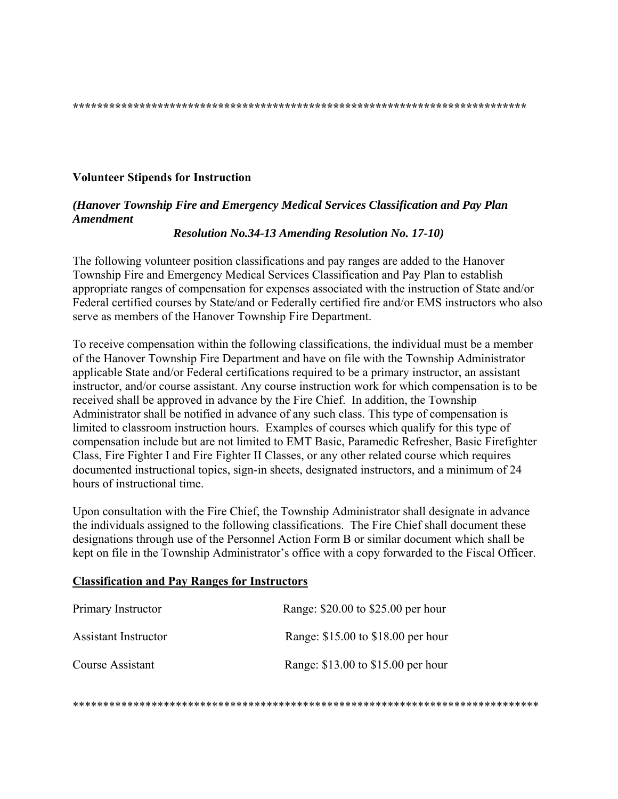#### **Volunteer Stipends for Instruction**

# (Hanover Township Fire and Emergency Medical Services Classification and Pay Plan **Amendment**

**Resolution No.34-13 Amending Resolution No. 17-10)** 

The following volunteer position classifications and pay ranges are added to the Hanover Township Fire and Emergency Medical Services Classification and Pay Plan to establish appropriate ranges of compensation for expenses associated with the instruction of State and/or Federal certified courses by State/and or Federally certified fire and/or EMS instructors who also serve as members of the Hanover Township Fire Department.

To receive compensation within the following classifications, the individual must be a member of the Hanover Township Fire Department and have on file with the Township Administrator applicable State and/or Federal certifications required to be a primary instructor, an assistant instructor, and/or course assistant. Any course instruction work for which compensation is to be received shall be approved in advance by the Fire Chief. In addition, the Township Administrator shall be notified in advance of any such class. This type of compensation is limited to classroom instruction hours. Examples of courses which qualify for this type of compensation include but are not limited to EMT Basic, Paramedic Refresher, Basic Firefighter Class, Fire Fighter I and Fire Fighter II Classes, or any other related course which requires documented instructional topics, sign-in sheets, designated instructors, and a minimum of 24 hours of instructional time.

Upon consultation with the Fire Chief, the Township Administrator shall designate in advance the individuals assigned to the following classifications. The Fire Chief shall document these designations through use of the Personnel Action Form B or similar document which shall be kept on file in the Township Administrator's office with a copy forwarded to the Fiscal Officer.

#### **Classification and Pay Ranges for Instructors**

| Primary Instructor          | Range: \$20.00 to \$25.00 per hour |
|-----------------------------|------------------------------------|
| <b>Assistant Instructor</b> | Range: \$15.00 to \$18.00 per hour |
| Course Assistant            | Range: \$13.00 to \$15.00 per hour |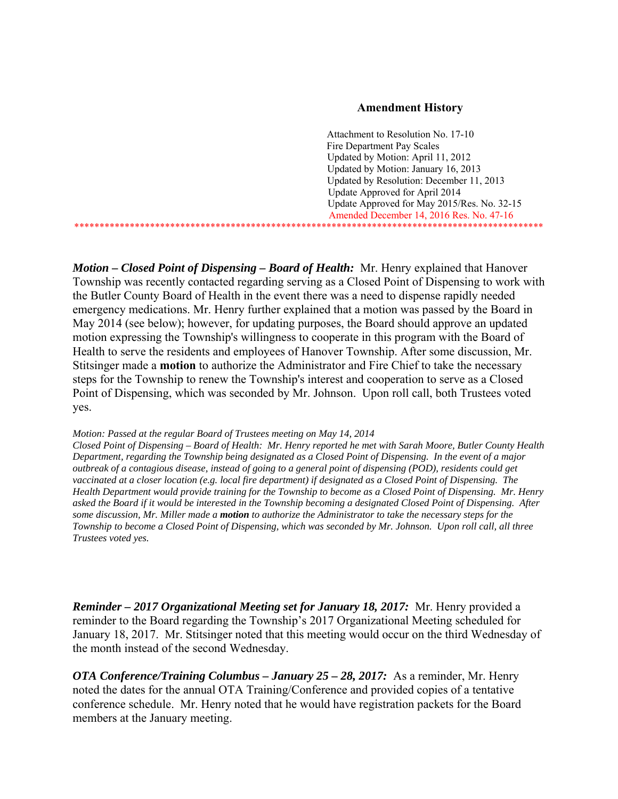#### **Amendment History**

 Attachment to Resolution No. 17-10 Fire Department Pay Scales Updated by Motion: April 11, 2012 Updated by Motion: January 16, 2013 Updated by Resolution: December 11, 2013 Update Approved for April 2014 Update Approved for May 2015/Res. No. 32-15 Amended December 14, 2016 Res. No. 47-16 \*\*\*\*\*\*\*\*\*\*\*\*\*\*\*\*\*\*\*\*\*\*\*\*\*\*\*\*\*\*\*\*\*\*\*\*\*\*\*\*\*\*\*\*\*\*\*\*\*\*\*\*\*\*\*\*\*\*\*\*\*\*\*\*\*\*\*\*\*\*\*\*\*\*\*\*\*\*\*\*\*\*\*\*\*\*\*\*\*\*\*\*\*

*Motion – Closed Point of Dispensing – Board of Health:* Mr. Henry explained that Hanover Township was recently contacted regarding serving as a Closed Point of Dispensing to work with the Butler County Board of Health in the event there was a need to dispense rapidly needed emergency medications. Mr. Henry further explained that a motion was passed by the Board in May 2014 (see below); however, for updating purposes, the Board should approve an updated motion expressing the Township's willingness to cooperate in this program with the Board of Health to serve the residents and employees of Hanover Township. After some discussion, Mr. Stitsinger made a **motion** to authorize the Administrator and Fire Chief to take the necessary steps for the Township to renew the Township's interest and cooperation to serve as a Closed Point of Dispensing, which was seconded by Mr. Johnson. Upon roll call, both Trustees voted yes.

#### *Motion: Passed at the regular Board of Trustees meeting on May 14, 2014*

*Closed Point of Dispensing – Board of Health: Mr. Henry reported he met with Sarah Moore, Butler County Health Department, regarding the Township being designated as a Closed Point of Dispensing. In the event of a major outbreak of a contagious disease, instead of going to a general point of dispensing (POD), residents could get vaccinated at a closer location (e.g. local fire department) if designated as a Closed Point of Dispensing. The Health Department would provide training for the Township to become as a Closed Point of Dispensing. Mr. Henry asked the Board if it would be interested in the Township becoming a designated Closed Point of Dispensing. After some discussion, Mr. Miller made a motion to authorize the Administrator to take the necessary steps for the Township to become a Closed Point of Dispensing, which was seconded by Mr. Johnson. Upon roll call, all three Trustees voted yes.* 

*Reminder – 2017 Organizational Meeting set for January 18, 2017:* Mr. Henry provided a reminder to the Board regarding the Township's 2017 Organizational Meeting scheduled for January 18, 2017. Mr. Stitsinger noted that this meeting would occur on the third Wednesday of the month instead of the second Wednesday.

*OTA Conference/Training Columbus – January 25 – 28, 2017:* As a reminder, Mr. Henry noted the dates for the annual OTA Training/Conference and provided copies of a tentative conference schedule. Mr. Henry noted that he would have registration packets for the Board members at the January meeting.